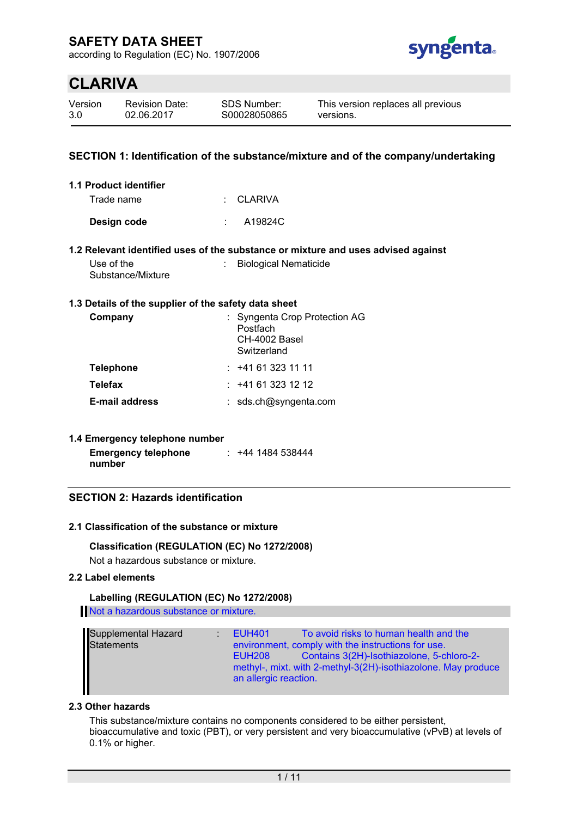according to Regulation (EC) No. 1907/2006



# **CLARIVA**

| Version | <b>Revis</b> |
|---------|--------------|
| 3.0     | 02.0         |

sion Date: 6.2017

### **SECTION 1: Identification of the substance/mixture and of the company/undertaking**

| 1.1 Product identifier |           |
|------------------------|-----------|
| Trade name             | : CLARIVA |
| Design code            | A19824C   |

#### **1.2 Relevant identified uses of the substance or mixture and uses advised against**

| Use of the        | <b>Biological Nematicide</b> |
|-------------------|------------------------------|
| Substance/Mixture |                              |

#### **1.3 Details of the supplier of the safety data sheet**

| Company               | : Syngenta Crop Protection AG<br>Postfach<br>CH-4002 Basel<br>Switzerland |
|-----------------------|---------------------------------------------------------------------------|
| <b>Telephone</b>      | : 141613231111                                                            |
| <b>Telefax</b>        | : 141613231212                                                            |
| <b>E-mail address</b> | : sds.ch@syngenta.com                                                     |

#### **1.4 Emergency telephone number**

| <b>Emergency telephone</b> | $: +441484538444$ |
|----------------------------|-------------------|
| number                     |                   |

### **SECTION 2: Hazards identification**

#### **2.1 Classification of the substance or mixture**

#### **Classification (REGULATION (EC) No 1272/2008)**

Not a hazardous substance or mixture.

#### **2.2 Label elements**

#### **Labelling (REGULATION (EC) No 1272/2008)**

Not a hazardous substance or mixture.

| Supplemental Hazard<br>Statements | To avoid risks to human health and the<br><b>EUH401</b><br>environment, comply with the instructions for use.<br>Contains 3(2H)-Isothiazolone, 5-chloro-2-<br>EUH <sub>208</sub><br>methyl-, mixt. with 2-methyl-3(2H)-isothiazolone. May produce<br>an allergic reaction. |
|-----------------------------------|----------------------------------------------------------------------------------------------------------------------------------------------------------------------------------------------------------------------------------------------------------------------------|
|-----------------------------------|----------------------------------------------------------------------------------------------------------------------------------------------------------------------------------------------------------------------------------------------------------------------------|

#### **2.3 Other hazards**

This substance/mixture contains no components considered to be either persistent, bioaccumulative and toxic (PBT), or very persistent and very bioaccumulative (vPvB) at levels of 0.1% or higher.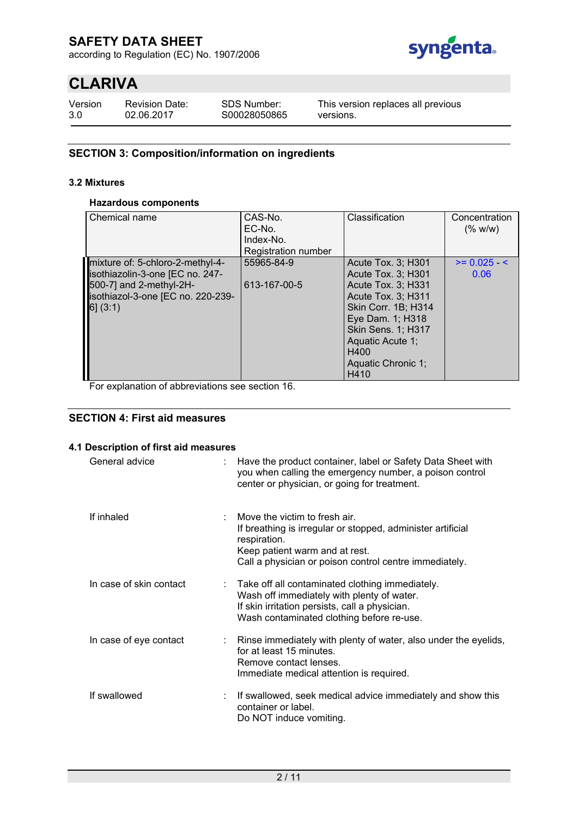according to Regulation (EC) No. 1907/2006



# **CLARIVA**

Version 3.0

Revision Date: 02.06.2017

SDS Number: S00028050865 This version replaces all previous versions.

### **SECTION 3: Composition/information on ingredients**

#### **3.2 Mixtures**

### **Hazardous components**

| Chemical name                                                                                                                                   | CAS-No.<br>EC-No.<br>Index-No.<br>Registration number | Classification                                                                                                                                                                                                         | Concentration<br>$(\%$ w/w) |
|-------------------------------------------------------------------------------------------------------------------------------------------------|-------------------------------------------------------|------------------------------------------------------------------------------------------------------------------------------------------------------------------------------------------------------------------------|-----------------------------|
| mixture of: 5-chloro-2-methyl-4-<br>isothiazolin-3-one [EC no. 247-<br>500-7] and 2-methyl-2H-<br>isothiazol-3-one [EC no. 220-239-<br>6] (3:1) | 55965-84-9<br>613-167-00-5                            | Acute Tox. 3; H301<br>Acute Tox. 3; H301<br>Acute Tox. 3; H331<br>Acute Tox. 3; H311<br>Skin Corr. 1B; H314<br>Eye Dam. 1; H318<br><b>Skin Sens. 1; H317</b><br>Aquatic Acute 1;<br>H400<br>Aquatic Chronic 1;<br>H410 | $>= 0.025 <$<br>0.06        |

For explanation of abbreviations see section 16.

### **SECTION 4: First aid measures**

#### **4.1 Description of first aid measures**

| General advice          | Have the product container, label or Safety Data Sheet with<br>you when calling the emergency number, a poison control<br>center or physician, or going for treatment.                                   |
|-------------------------|----------------------------------------------------------------------------------------------------------------------------------------------------------------------------------------------------------|
| If inhaled              | Move the victim to fresh air.<br>If breathing is irregular or stopped, administer artificial<br>respiration.<br>Keep patient warm and at rest.<br>Call a physician or poison control centre immediately. |
| In case of skin contact | Take off all contaminated clothing immediately.<br>Wash off immediately with plenty of water.<br>If skin irritation persists, call a physician.<br>Wash contaminated clothing before re-use.             |
| In case of eye contact  | : Rinse immediately with plenty of water, also under the eyelids,<br>for at least 15 minutes.<br>Remove contact lenses.<br>Immediate medical attention is required.                                      |
| If swallowed            | If swallowed, seek medical advice immediately and show this<br>container or label.<br>Do NOT induce vomiting.                                                                                            |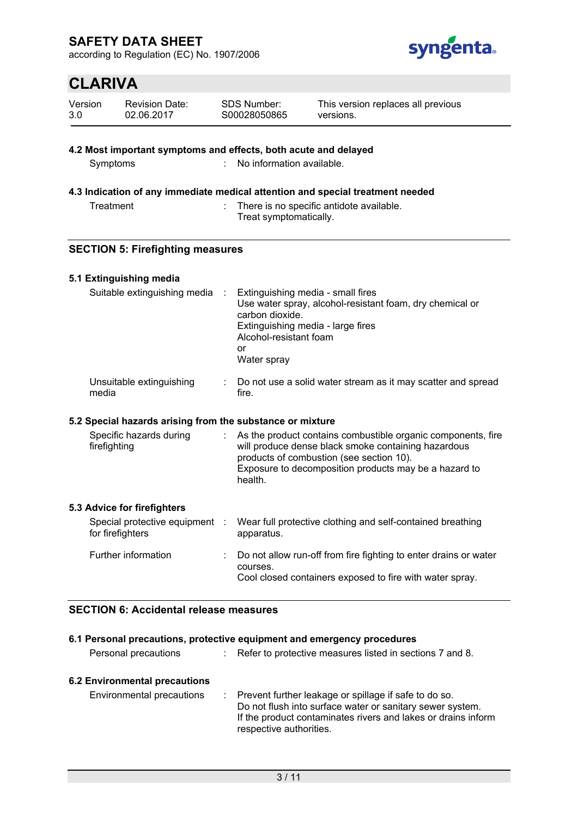according to Regulation (EC) No. 1907/2006



|                | <b>CLARIVA</b> |                                                                                                        |                                                                                                                                          |                                                                                                                                                                                                                          |
|----------------|----------------|--------------------------------------------------------------------------------------------------------|------------------------------------------------------------------------------------------------------------------------------------------|--------------------------------------------------------------------------------------------------------------------------------------------------------------------------------------------------------------------------|
| Version<br>3.0 |                | <b>Revision Date:</b><br>02.06.2017                                                                    | SDS Number:<br>S00028050865                                                                                                              | This version replaces all previous<br>versions.                                                                                                                                                                          |
|                | Symptoms       | 4.2 Most important symptoms and effects, both acute and delayed                                        | No information available.                                                                                                                | 4.3 Indication of any immediate medical attention and special treatment needed                                                                                                                                           |
|                | Treatment      |                                                                                                        | Treat symptomatically.                                                                                                                   | There is no specific antidote available.                                                                                                                                                                                 |
|                |                | <b>SECTION 5: Firefighting measures</b>                                                                |                                                                                                                                          |                                                                                                                                                                                                                          |
|                |                | 5.1 Extinguishing media<br>Suitable extinguishing media                                                | Extinguishing media - small fires<br>carbon dioxide.<br>Extinguishing media - large fires<br>Alcohol-resistant foam<br>or<br>Water spray | Use water spray, alcohol-resistant foam, dry chemical or                                                                                                                                                                 |
|                | media          | Unsuitable extinguishing                                                                               | fire.                                                                                                                                    | Do not use a solid water stream as it may scatter and spread                                                                                                                                                             |
|                | firefighting   | 5.2 Special hazards arising from the substance or mixture<br>Specific hazards during                   | health.                                                                                                                                  | As the product contains combustible organic components, fire<br>will produce dense black smoke containing hazardous<br>products of combustion (see section 10).<br>Exposure to decomposition products may be a hazard to |
|                |                | 5.3 Advice for firefighters<br>Special protective equipment<br>for firefighters<br>Further information | apparatus.<br>courses.                                                                                                                   | Wear full protective clothing and self-contained breathing<br>Do not allow run-off from fire fighting to enter drains or water<br>Cool closed containers exposed to fire with water spray.                               |

# **SECTION 6: Accidental release measures**

|                               | 6.1 Personal precautions, protective equipment and emergency procedures                                                                                                                                          |
|-------------------------------|------------------------------------------------------------------------------------------------------------------------------------------------------------------------------------------------------------------|
| Personal precautions          | Refer to protective measures listed in sections 7 and 8.                                                                                                                                                         |
| 6.2 Environmental precautions |                                                                                                                                                                                                                  |
| Environmental precautions     | : Prevent further leakage or spillage if safe to do so.<br>Do not flush into surface water or sanitary sewer system.<br>If the product contaminates rivers and lakes or drains inform<br>respective authorities. |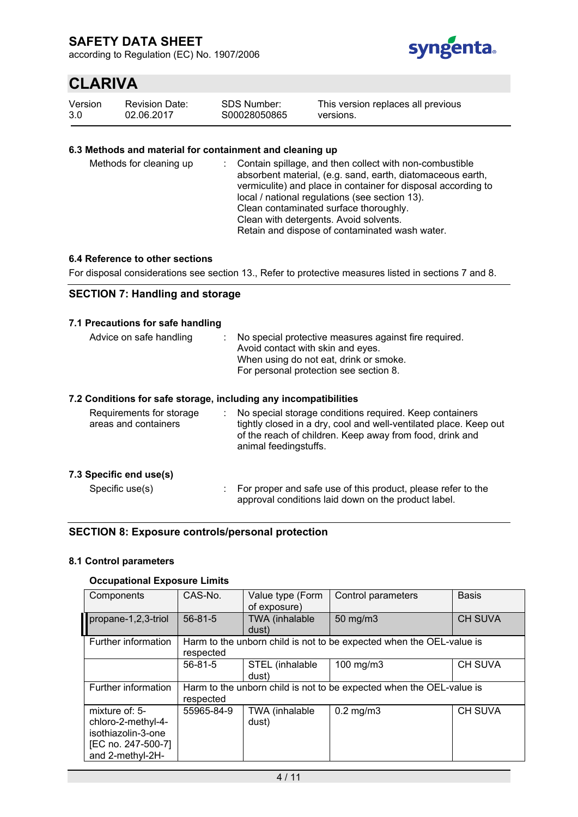according to Regulation (EC) No. 1907/2006



# **CLARIVA**

| Version | <b>Revision Date:</b> |
|---------|-----------------------|
| 3.0     | 02.06.2017            |

| SDS Number:  |  |
|--------------|--|
| S00028050865 |  |

This version replaces all previous versions.

### **6.3 Methods and material for containment and cleaning up**

| Methods for cleaning up |  | : Contain spillage, and then collect with non-combustible<br>absorbent material, (e.g. sand, earth, diatomaceous earth,<br>vermiculite) and place in container for disposal according to<br>local / national regulations (see section 13).<br>Clean contaminated surface thoroughly.<br>Clean with detergents. Avoid solvents.<br>Retain and dispose of contaminated wash water. |
|-------------------------|--|----------------------------------------------------------------------------------------------------------------------------------------------------------------------------------------------------------------------------------------------------------------------------------------------------------------------------------------------------------------------------------|
|-------------------------|--|----------------------------------------------------------------------------------------------------------------------------------------------------------------------------------------------------------------------------------------------------------------------------------------------------------------------------------------------------------------------------------|

#### **6.4 Reference to other sections**

For disposal considerations see section 13., Refer to protective measures listed in sections 7 and 8.

### **SECTION 7: Handling and storage**

#### **7.1 Precautions for safe handling**

| Advice on safe handling                          | No special protective measures against fire required.<br>Avoid contact with skin and eyes.<br>When using do not eat, drink or smoke.<br>For personal protection see section 8. |
|--------------------------------------------------|--------------------------------------------------------------------------------------------------------------------------------------------------------------------------------|
|                                                  | 7.2 Conditions for safe storage, including any incompatibilities                                                                                                               |
| Requirements for storage<br>areas and containers | No special storage conditions required. Keep containers<br>tightly closed in a dry, cool and well-ventilated place. Keep out                                                   |

animal feedingstuffs.

**7.3 Specific end use(s)**

Specific use(s) : For proper and safe use of this product, please refer to the approval conditions laid down on the product label.

of the reach of children. Keep away from food, drink and

### **SECTION 8: Exposure controls/personal protection**

#### **8.1 Control parameters**

### **Occupational Exposure Limits**

| Components                                                                                           | CAS-No.       | Value type (Form<br>of exposure) | Control parameters                                                   | <b>Basis</b>   |
|------------------------------------------------------------------------------------------------------|---------------|----------------------------------|----------------------------------------------------------------------|----------------|
| propane-1,2,3-triol                                                                                  | $56 - 81 - 5$ | <b>TWA</b> (inhalable<br>dust)   | $50 \text{ mg/m}$                                                    | <b>CH SUVA</b> |
| Further information                                                                                  | respected     |                                  | Harm to the unborn child is not to be expected when the OEL-value is |                |
|                                                                                                      | $56 - 81 - 5$ | STEL (inhalable<br>dust)         | 100 mg/m3                                                            | <b>CH SUVA</b> |
| Further information                                                                                  | respected     |                                  | Harm to the unborn child is not to be expected when the OEL-value is |                |
| mixture of: 5-<br>chloro-2-methyl-4-<br>isothiazolin-3-one<br>[EC no. 247-500-7]<br>and 2-methyl-2H- | 55965-84-9    | TWA (inhalable<br>dust)          | $0.2$ mg/m $3$                                                       | <b>CH SUVA</b> |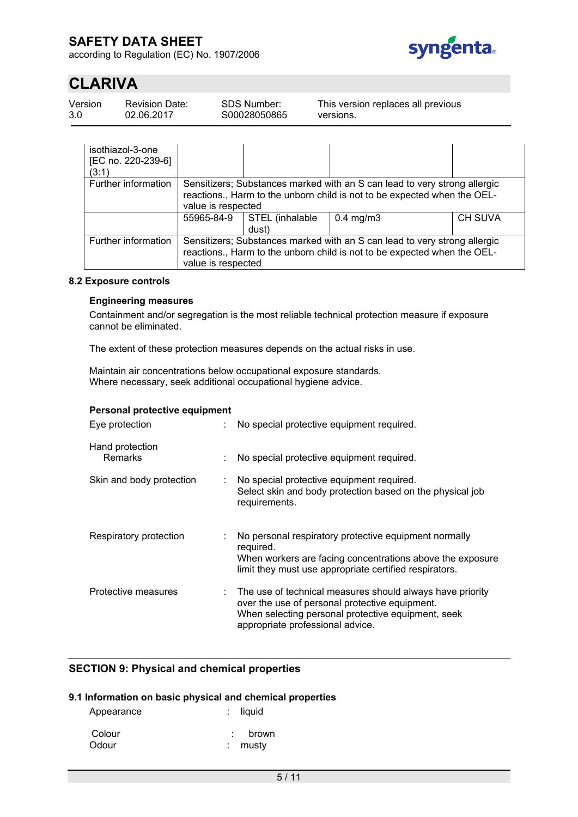according to Regulation (EC) No. 1907/2006



# **CLARIVA**

| Version | <b>Revision Date:</b> | SDS Number:   | This version replaces all previous |
|---------|-----------------------|---------------|------------------------------------|
| 3.0     | 02.06.2017            | \$00028050865 | versions.                          |

| isothiazol-3-one<br>[EC no. 220-239-6]<br>(3:1) |                                                                                                                                                                             |                          |                                                                                                                                                       |                |
|-------------------------------------------------|-----------------------------------------------------------------------------------------------------------------------------------------------------------------------------|--------------------------|-------------------------------------------------------------------------------------------------------------------------------------------------------|----------------|
| Further information                             | value is respected                                                                                                                                                          |                          | Sensitizers; Substances marked with an S can lead to very strong allergic<br>reactions., Harm to the unborn child is not to be expected when the OEL- |                |
|                                                 | 55965-84-9                                                                                                                                                                  | STEL (inhalable<br>dust) | $0.4$ mg/m $3$                                                                                                                                        | <b>CH SUVA</b> |
| Further information                             | Sensitizers; Substances marked with an S can lead to very strong allergic<br>reactions., Harm to the unborn child is not to be expected when the OEL-<br>value is respected |                          |                                                                                                                                                       |                |

#### **8.2 Exposure controls**

#### **Engineering measures**

Containment and/or segregation is the most reliable technical protection measure if exposure cannot be eliminated.

The extent of these protection measures depends on the actual risks in use.

Maintain air concentrations below occupational exposure standards. Where necessary, seek additional occupational hygiene advice.

### **Personal protective equipment**

| Eye protection             | No special protective equipment required.                                                                                                                                                               |
|----------------------------|---------------------------------------------------------------------------------------------------------------------------------------------------------------------------------------------------------|
| Hand protection<br>Remarks | No special protective equipment required.                                                                                                                                                               |
| Skin and body protection   | No special protective equipment required.<br>Select skin and body protection based on the physical job<br>requirements.                                                                                 |
| Respiratory protection     | No personal respiratory protective equipment normally<br>required.<br>When workers are facing concentrations above the exposure<br>limit they must use appropriate certified respirators.               |
| Protective measures        | : The use of technical measures should always have priority<br>over the use of personal protective equipment.<br>When selecting personal protective equipment, seek<br>appropriate professional advice. |

### **SECTION 9: Physical and chemical properties**

#### **9.1 Information on basic physical and chemical properties**

| Appearance      | $:$ liquid       |
|-----------------|------------------|
| Colour<br>Odour | brown<br>: mustv |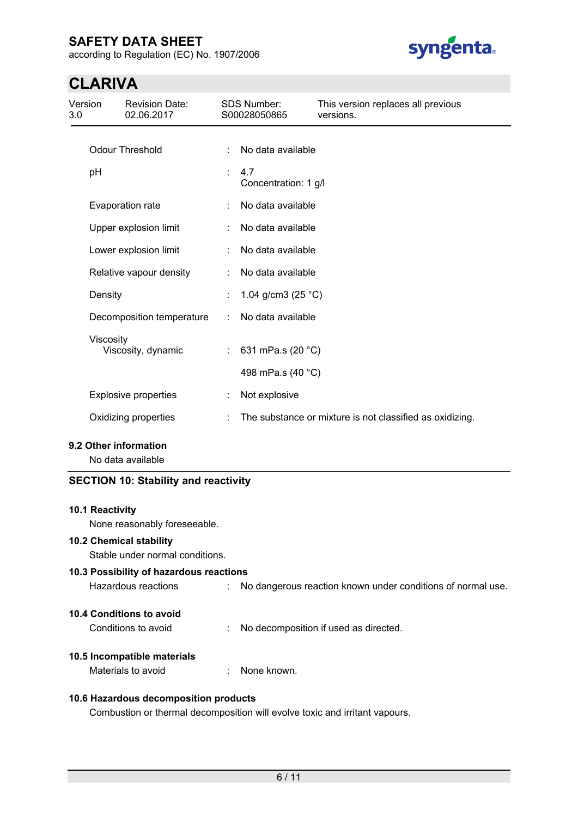according to Regulation (EC) No. 1907/2006



# **CLARIVA**

| Version<br>3.0 |           | <b>Revision Date:</b><br>02.06.2017        |                           | <b>SDS Number:</b><br>S00028050865 | This version replaces all previous<br>versions.          |
|----------------|-----------|--------------------------------------------|---------------------------|------------------------------------|----------------------------------------------------------|
|                |           | <b>Odour Threshold</b>                     | ÷                         | No data available                  |                                                          |
|                | pH        |                                            | ÷                         | 4.7<br>Concentration: 1 g/l        |                                                          |
|                |           | Evaporation rate                           |                           | No data available                  |                                                          |
|                |           | Upper explosion limit                      |                           | No data available                  |                                                          |
|                |           | Lower explosion limit                      |                           | No data available                  |                                                          |
|                |           | Relative vapour density                    |                           | No data available                  |                                                          |
|                | Density   |                                            |                           | 1.04 g/cm3 (25 °C)                 |                                                          |
|                |           | Decomposition temperature                  | ÷                         | No data available                  |                                                          |
|                | Viscosity | Viscosity, dynamic                         | $\mathbb{R}^{\mathbb{Z}}$ | 631 mPa.s (20 °C)                  |                                                          |
|                |           |                                            |                           | 498 mPa.s (40 °C)                  |                                                          |
|                |           | <b>Explosive properties</b>                |                           | Not explosive                      |                                                          |
|                |           | Oxidizing properties                       |                           |                                    | The substance or mixture is not classified as oxidizing. |
|                |           | 9.2 Other information<br>No data available |                           |                                    |                                                          |

# **SECTION 10: Stability and reactivity**

#### **10.1 Reactivity**

None reasonably foreseeable.

### **10.2 Chemical stability**

Stable under normal conditions.

# **10.3 Possibility of hazardous reactions** Hazardous reactions : No dangerous reaction known under conditions of normal use. **10.4 Conditions to avoid**

Conditions to avoid : No decomposition if used as directed.

### **10.5 Incompatible materials**

Materials to avoid **in the state of the state of the state of the state of the state of the state of the state of the state of the state of the state of the state of the state of the state of the state of the state of the** 

### **10.6 Hazardous decomposition products**

Combustion or thermal decomposition will evolve toxic and irritant vapours.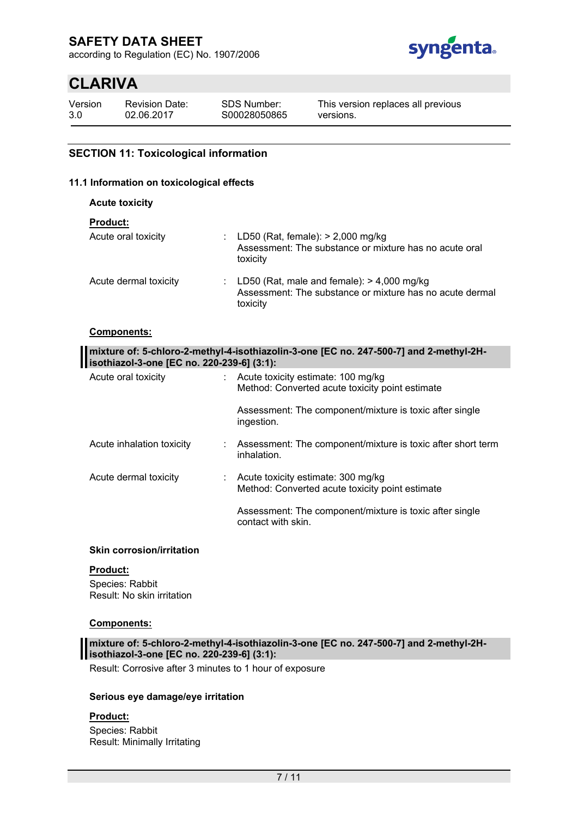according to Regulation (EC) No. 1907/2006



# **CLARIVA**

Version 3.0 02.06.2017

Revision Date:

SDS Number: S00028050865 This version replaces all previous versions.

### **SECTION 11: Toxicological information**

### **11.1 Information on toxicological effects**

**Acute toxicity**

### **Product:**

| Acute oral toxicity   | : LD50 (Rat, female): $> 2,000$ mg/kg<br>Assessment: The substance or mixture has no acute oral<br>toxicity            |
|-----------------------|------------------------------------------------------------------------------------------------------------------------|
| Acute dermal toxicity | : LD50 (Rat, male and female): $> 4,000$ mg/kg<br>Assessment: The substance or mixture has no acute dermal<br>toxicity |

#### **Components:**

| mixture of: 5-chloro-2-methyl-4-isothiazolin-3-one [EC no. 247-500-7] and 2-methyl-2H-<br>isothiazol-3-one [EC no. 220-239-6] (3:1): |  |                                                                                                   |
|--------------------------------------------------------------------------------------------------------------------------------------|--|---------------------------------------------------------------------------------------------------|
| Acute oral toxicity                                                                                                                  |  | : Acute toxicity estimate: $100 \text{ mg/kg}$<br>Method: Converted acute toxicity point estimate |
|                                                                                                                                      |  | Assessment: The component/mixture is toxic after single<br>ingestion.                             |
| Acute inhalation toxicity                                                                                                            |  | : Assessment: The component/mixture is toxic after short term<br>inhalation.                      |
| Acute dermal toxicity                                                                                                                |  | : Acute toxicity estimate: $300 \text{ mg/kg}$<br>Method: Converted acute toxicity point estimate |
|                                                                                                                                      |  | Assessment: The component/mixture is toxic after single<br>contact with skin.                     |

#### **Skin corrosion/irritation**

#### **Product:**

Species: Rabbit Result: No skin irritation

#### **Components:**

**mixture of: 5-chloro-2-methyl-4-isothiazolin-3-one [EC no. 247-500-7] and 2-methyl-2Hisothiazol-3-one [EC no. 220-239-6] (3:1):**

Result: Corrosive after 3 minutes to 1 hour of exposure

#### **Serious eye damage/eye irritation**

#### **Product:**

Species: Rabbit Result: Minimally Irritating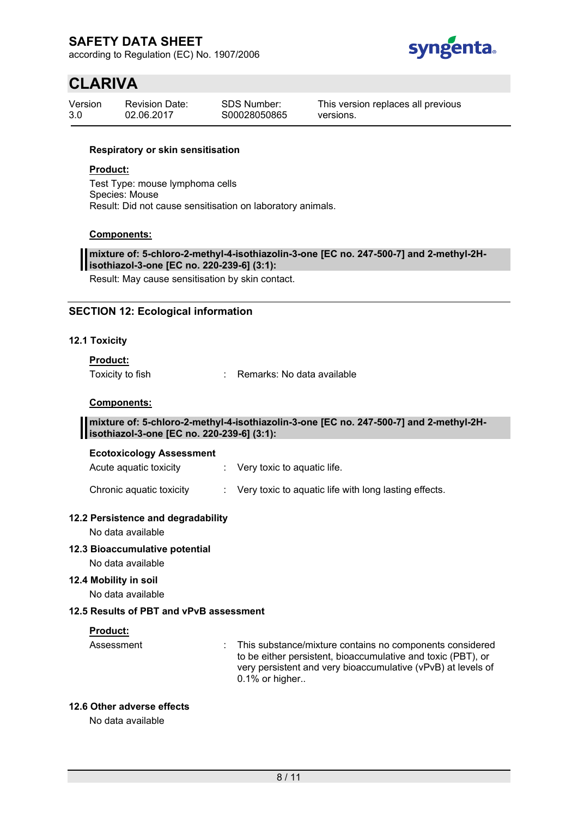according to Regulation (EC) No. 1907/2006



# **CLARIVA**

| Version | <b>Revision Date:</b> | <b>SDS Number:</b> |
|---------|-----------------------|--------------------|
| 3.0     | 02.06.2017            | S00028050865       |

This version replaces all previous versions.

#### **Respiratory or skin sensitisation**

### **Product:**

Test Type: mouse lymphoma cells Species: Mouse Result: Did not cause sensitisation on laboratory animals.

#### **Components:**

#### **mixture of: 5-chloro-2-methyl-4-isothiazolin-3-one [EC no. 247-500-7] and 2-methyl-2Hisothiazol-3-one [EC no. 220-239-6] (3:1):**

Result: May cause sensitisation by skin contact.

### **SECTION 12: Ecological information**

#### **12.1 Toxicity**

# **Product:**

Toxicity to fish : Remarks: No data available

### **Components:**

#### **mixture of: 5-chloro-2-methyl-4-isothiazolin-3-one [EC no. 247-500-7] and 2-methyl-2Hisothiazol-3-one [EC no. 220-239-6] (3:1):**

#### **Ecotoxicology Assessment**

Acute aquatic toxicity : Very toxic to aquatic life.

Chronic aquatic toxicity : Very toxic to aquatic life with long lasting effects.

#### **12.2 Persistence and degradability**

No data available

#### **12.3 Bioaccumulative potential**

No data available

### **12.4 Mobility in soil**

No data available

### **12.5 Results of PBT and vPvB assessment**

#### **Product:**

Assessment : This substance/mixture contains no components considered to be either persistent, bioaccumulative and toxic (PBT), or very persistent and very bioaccumulative (vPvB) at levels of 0.1% or higher..

### **12.6 Other adverse effects**

No data available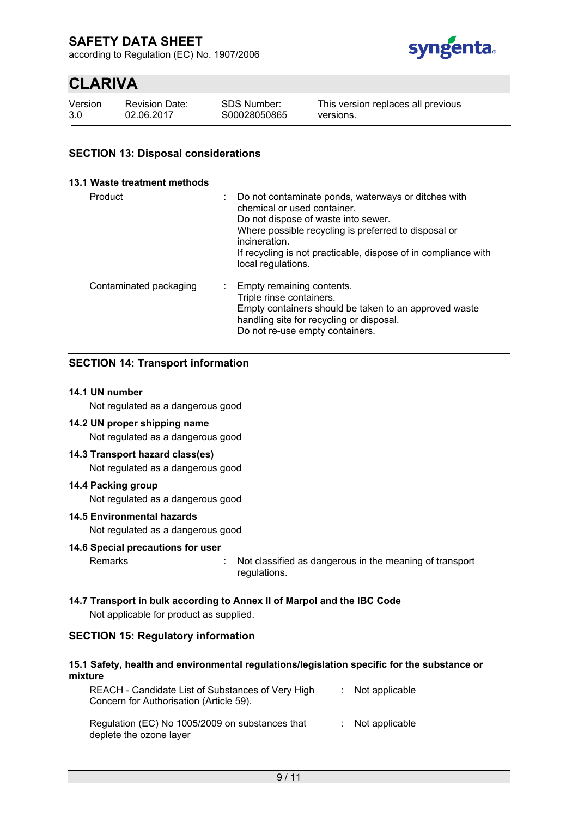according to Regulation (EC) No. 1907/2006



# **CLARIVA**

Version 3.0 Revision Date: 02.06.2017

SDS Number: S00028050865

This version replaces all previous versions.

### **SECTION 13: Disposal considerations**

#### **13.1 Waste treatment methods**

| Product                | Do not contaminate ponds, waterways or ditches with<br>chemical or used container.<br>Do not dispose of waste into sewer.<br>Where possible recycling is preferred to disposal or<br>incineration.<br>If recycling is not practicable, dispose of in compliance with<br>local regulations. |
|------------------------|--------------------------------------------------------------------------------------------------------------------------------------------------------------------------------------------------------------------------------------------------------------------------------------------|
| Contaminated packaging | Empty remaining contents.<br>Triple rinse containers.<br>Empty containers should be taken to an approved waste<br>handling site for recycling or disposal.<br>Do not re-use empty containers.                                                                                              |

### **SECTION 14: Transport information**

#### **14.1 UN number**

Not regulated as a dangerous good

### **14.2 UN proper shipping name**

Not regulated as a dangerous good

#### **14.3 Transport hazard class(es)**

Not regulated as a dangerous good

#### **14.4 Packing group**

Not regulated as a dangerous good

#### **14.5 Environmental hazards**

Not regulated as a dangerous good

#### **14.6 Special precautions for user**

Remarks : Not classified as dangerous in the meaning of transport regulations.

#### **14.7 Transport in bulk according to Annex II of Marpol and the IBC Code**

Not applicable for product as supplied.

#### **SECTION 15: Regulatory information**

#### **15.1 Safety, health and environmental regulations/legislation specific for the substance or mixture**

| REACH - Candidate List of Substances of Very High<br>Concern for Authorisation (Article 59). | $:$ Not applicable |
|----------------------------------------------------------------------------------------------|--------------------|
| Regulation (EC) No 1005/2009 on substances that                                              | $:$ Not applicable |

deplete the ozone layer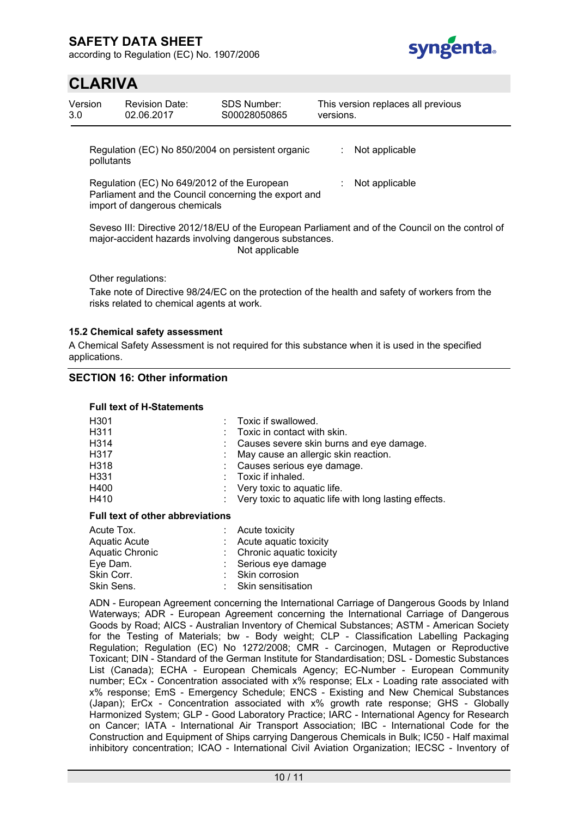according to Regulation (EC) No. 1907/2006



# **CLARIVA**

| Version<br>3.0 | <b>Revision Date:</b><br>02.06.2017                                                                                                  | SDS Number:<br>S00028050865 | versions. | This version replaces all previous                                                               |
|----------------|--------------------------------------------------------------------------------------------------------------------------------------|-----------------------------|-----------|--------------------------------------------------------------------------------------------------|
|                | Regulation (EC) No 850/2004 on persistent organic<br>pollutants                                                                      |                             |           | Not applicable                                                                                   |
|                | Regulation (EC) No 649/2012 of the European<br>Parliament and the Council concerning the export and<br>import of dangerous chemicals |                             |           | Not applicable                                                                                   |
|                | major-accident hazards involving dangerous substances.                                                                               | Not applicable              |           | Seveso III: Directive 2012/18/EU of the European Parliament and of the Council on the control of |
|                | Other regulations:                                                                                                                   |                             |           | Take note of Directive 98/24/EC on the protection of the health and safety of workers from the   |

### **15.2 Chemical safety assessment**

risks related to chemical agents at work.

A Chemical Safety Assessment is not required for this substance when it is used in the specified applications.

#### **SECTION 16: Other information**

#### **Full text of H-Statements**

| H301 | Toxic if swallowed.                                     |
|------|---------------------------------------------------------|
| H311 | Toxic in contact with skin.                             |
| H314 | Causes severe skin burns and eye damage.                |
| H317 | May cause an allergic skin reaction.                    |
| H318 | : Causes serious eye damage.                            |
| H331 | Toxic if inhaled.                                       |
| H400 | : Very toxic to aquatic life.                           |
| H410 | : Very toxic to aquatic life with long lasting effects. |

#### **Full text of other abbreviations**

| Acute Tox.      | $:$ Acute toxicity         |  |
|-----------------|----------------------------|--|
| Aquatic Acute   | : Acute aquatic toxicity   |  |
| Aquatic Chronic | : Chronic aquatic toxicity |  |
| Eye Dam.        | : Serious eye damage       |  |
| Skin Corr.      | : Skin corrosion           |  |
| Skin Sens.      | : Skin sensitisation       |  |
|                 |                            |  |

ADN - European Agreement concerning the International Carriage of Dangerous Goods by Inland Waterways; ADR - European Agreement concerning the International Carriage of Dangerous Goods by Road; AICS - Australian Inventory of Chemical Substances; ASTM - American Society for the Testing of Materials; bw - Body weight; CLP - Classification Labelling Packaging Regulation; Regulation (EC) No 1272/2008; CMR - Carcinogen, Mutagen or Reproductive Toxicant; DIN - Standard of the German Institute for Standardisation; DSL - Domestic Substances List (Canada); ECHA - European Chemicals Agency; EC-Number - European Community number; ECx - Concentration associated with x% response; ELx - Loading rate associated with x% response; EmS - Emergency Schedule; ENCS - Existing and New Chemical Substances (Japan); ErCx - Concentration associated with x% growth rate response; GHS - Globally Harmonized System; GLP - Good Laboratory Practice; IARC - International Agency for Research on Cancer; IATA - International Air Transport Association; IBC - International Code for the Construction and Equipment of Ships carrying Dangerous Chemicals in Bulk; IC50 - Half maximal inhibitory concentration; ICAO - International Civil Aviation Organization; IECSC - Inventory of